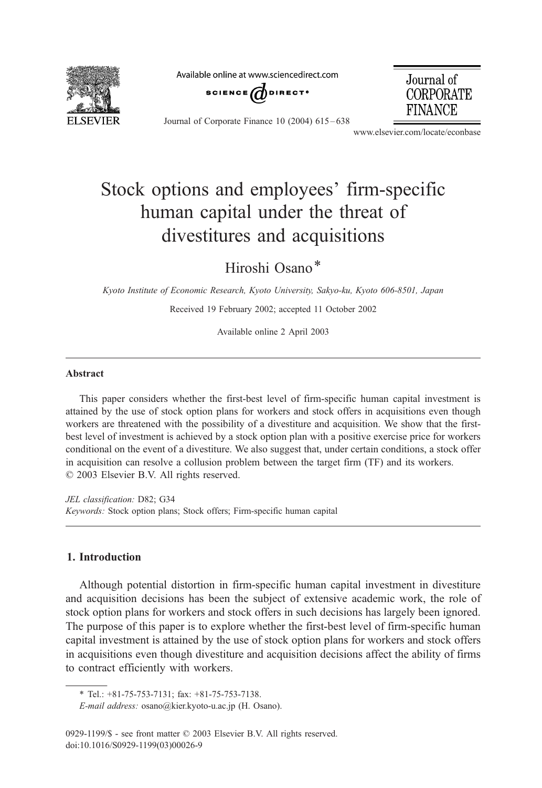

Available online at www.sciencedirect.com



Journal of **CORPORATE** FINANCF

Journal of Corporate Finance 10 (2004) 615 – 638

www.elsevier.com/locate/econbase

# Stock options and employees' firm-specific human capital under the threat of divestitures and acquisitions

### Hiroshi Osano\*

Kyoto Institute of Economic Research, Kyoto University, Sakyo-ku, Kyoto 606-8501, Japan

Received 19 February 2002; accepted 11 October 2002

Available online 2 April 2003

#### Abstract

This paper considers whether the first-best level of firm-specific human capital investment is attained by the use of stock option plans for workers and stock offers in acquisitions even though workers are threatened with the possibility of a divestiture and acquisition. We show that the firstbest level of investment is achieved by a stock option plan with a positive exercise price for workers conditional on the event of a divestiture. We also suggest that, under certain conditions, a stock offer in acquisition can resolve a collusion problem between the target firm (TF) and its workers.  $© 2003 Elsevier B.V. All rights reserved.$ 

JEL classification: D82; G34 Keywords: Stock option plans; Stock offers; Firm-specific human capital

### 1. Introduction

Although potential distortion in firm-specific human capital investment in divestiture and acquisition decisions has been the subject of extensive academic work, the role of stock option plans for workers and stock offers in such decisions has largely been ignored. The purpose of this paper is to explore whether the first-best level of firm-specific human capital investment is attained by the use of stock option plans for workers and stock offers in acquisitions even though divestiture and acquisition decisions affect the ability of firms to contract efficiently with workers.

<sup>\*</sup> Tel.: +81-75-753-7131; fax: +81-75-753-7138.

E-mail address: osano@kier.kyoto-u.ac.jp (H. Osano).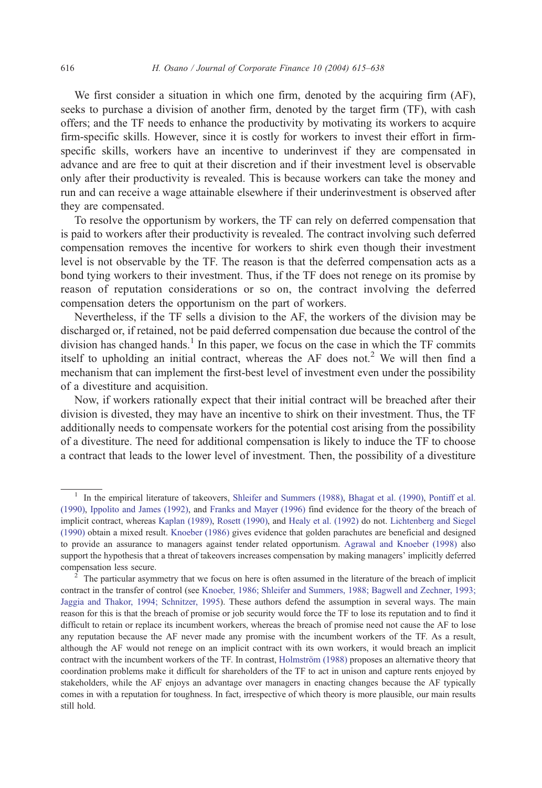We first consider a situation in which one firm, denoted by the acquiring firm (AF), seeks to purchase a division of another firm, denoted by the target firm (TF), with cash offers; and the TF needs to enhance the productivity by motivating its workers to acquire firm-specific skills. However, since it is costly for workers to invest their effort in firmspecific skills, workers have an incentive to underinvest if they are compensated in advance and are free to quit at their discretion and if their investment level is observable only after their productivity is revealed. This is because workers can take the money and run and can receive a wage attainable elsewhere if their underinvestment is observed after they are compensated.

To resolve the opportunism by workers, the TF can rely on deferred compensation that is paid to workers after their productivity is revealed. The contract involving such deferred compensation removes the incentive for workers to shirk even though their investment level is not observable by the TF. The reason is that the deferred compensation acts as a bond tying workers to their investment. Thus, if the TF does not renege on its promise by reason of reputation considerations or so on, the contract involving the deferred compensation deters the opportunism on the part of workers.

Nevertheless, if the TF sells a division to the AF, the workers of the division may be discharged or, if retained, not be paid deferred compensation due because the control of the division has changed hands.<sup>1</sup> In this paper, we focus on the case in which the TF commits itself to upholding an initial contract, whereas the AF does not.<sup>2</sup> We will then find a mechanism that can implement the first-best level of investment even under the possibility of a divestiture and acquisition.

Now, if workers rationally expect that their initial contract will be breached after their division is divested, they may have an incentive to shirk on their investment. Thus, the TF additionally needs to compensate workers for the potential cost arising from the possibility of a divestiture. The need for additional compensation is likely to induce the TF to choose a contract that leads to the lower level of investment. Then, the possibility of a divestiture

<sup>&</sup>lt;sup>1</sup> In the empirical literature of takeovers, [Shleifer and Summers \(1988\),](#page--1-0) [Bhagat et al. \(1990\),](#page--1-0) [Pontiff et al.](#page--1-0) (1990), [Ippolito and James \(1992\),](#page--1-0) and [Franks and Mayer \(1996\)](#page--1-0) find evidence for the theory of the breach of implicit contract, whereas [Kaplan \(1989\),](#page--1-0) [Rosett \(1990\),](#page--1-0) and [Healy et al. \(1992\)](#page--1-0) do not. [Lichtenberg and Siegel](#page--1-0) (1990) obtain a mixed result. [Knoeber \(1986\)](#page--1-0) gives evidence that golden parachutes are beneficial and designed to provide an assurance to managers against tender related opportunism. [Agrawal and Knoeber \(1998\)](#page--1-0) also support the hypothesis that a threat of takeovers increases compensation by making managers' implicitly deferred compensation less secure.<br><sup>2</sup> The particular asymmetry that we focus on here is often assumed in the literature of the breach of implicit

contract in the transfer of control (see [Knoeber, 1986; Shleifer and Summers, 1988; Bagwell and Zechner, 1993;](#page--1-0) Jaggia and Thakor, 1994; Schnitzer, 1995). These authors defend the assumption in several ways. The main reason for this is that the breach of promise or job security would force the TF to lose its reputation and to find it difficult to retain or replace its incumbent workers, whereas the breach of promise need not cause the AF to lose any reputation because the AF never made any promise with the incumbent workers of the TF. As a result, although the AF would not renege on an implicit contract with its own workers, it would breach an implicit contract with the incumbent workers of the TF. In contrast, Holmström (1988) proposes an alternative theory that coordination problems make it difficult for shareholders of the TF to act in unison and capture rents enjoyed by stakeholders, while the AF enjoys an advantage over managers in enacting changes because the AF typically comes in with a reputation for toughness. In fact, irrespective of which theory is more plausible, our main results still hold.